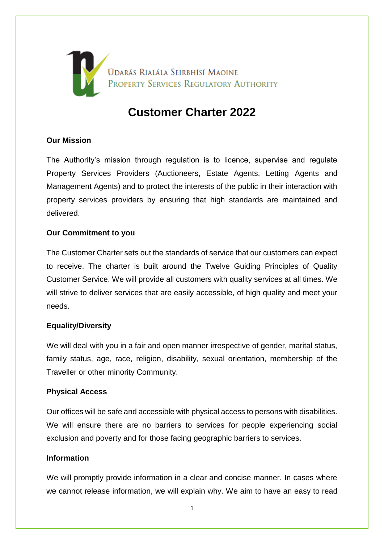

# **Customer Charter 2022**

# **Our Mission**

The Authority's mission through regulation is to licence, supervise and regulate Property Services Providers (Auctioneers, Estate Agents, Letting Agents and Management Agents) and to protect the interests of the public in their interaction with property services providers by ensuring that high standards are maintained and delivered.

# **Our Commitment to you**

The Customer Charter sets out the standards of service that our customers can expect to receive. The charter is built around the Twelve Guiding Principles of Quality Customer Service. We will provide all customers with quality services at all times. We will strive to deliver services that are easily accessible, of high quality and meet your needs.

# **Equality/Diversity**

We will deal with you in a fair and open manner irrespective of gender, marital status, family status, age, race, religion, disability, sexual orientation, membership of the Traveller or other minority Community.

# **Physical Access**

Our offices will be safe and accessible with physical access to persons with disabilities. We will ensure there are no barriers to services for people experiencing social exclusion and poverty and for those facing geographic barriers to services.

# **Information**

We will promptly provide information in a clear and concise manner. In cases where we cannot release information, we will explain why. We aim to have an easy to read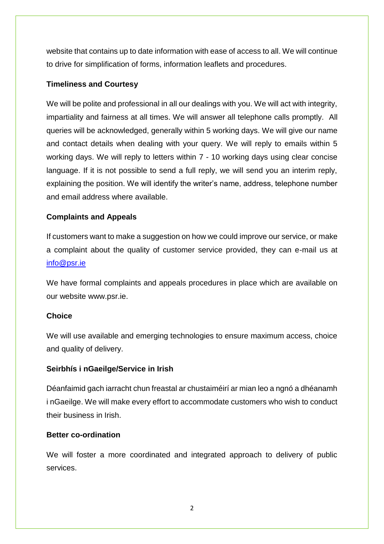website that contains up to date information with ease of access to all. We will continue to drive for simplification of forms, information leaflets and procedures.

#### **Timeliness and Courtesy**

We will be polite and professional in all our dealings with you. We will act with integrity, impartiality and fairness at all times. We will answer all telephone calls promptly. All queries will be acknowledged, generally within 5 working days. We will give our name and contact details when dealing with your query. We will reply to emails within 5 working days. We will reply to letters within 7 - 10 working days using clear concise language. If it is not possible to send a full reply, we will send you an interim reply, explaining the position. We will identify the writer's name, address, telephone number and email address where available.

# **Complaints and Appeals**

If customers want to make a suggestion on how we could improve our service, or make a complaint about the quality of customer service provided, they can e-mail us at [info@psr.ie](mailto:info@psr.ie)

We have formal complaints and appeals procedures in place which are available on our website www.psr.ie.

# **Choice**

We will use available and emerging technologies to ensure maximum access, choice and quality of delivery.

# **Seirbhís i nGaeilge/Service in Irish**

Déanfaimid gach iarracht chun freastal ar chustaiméirí ar mian leo a ngnó a dhéanamh i nGaeilge. We will make every effort to accommodate customers who wish to conduct their business in Irish.

#### **Better co-ordination**

We will foster a more coordinated and integrated approach to delivery of public services.